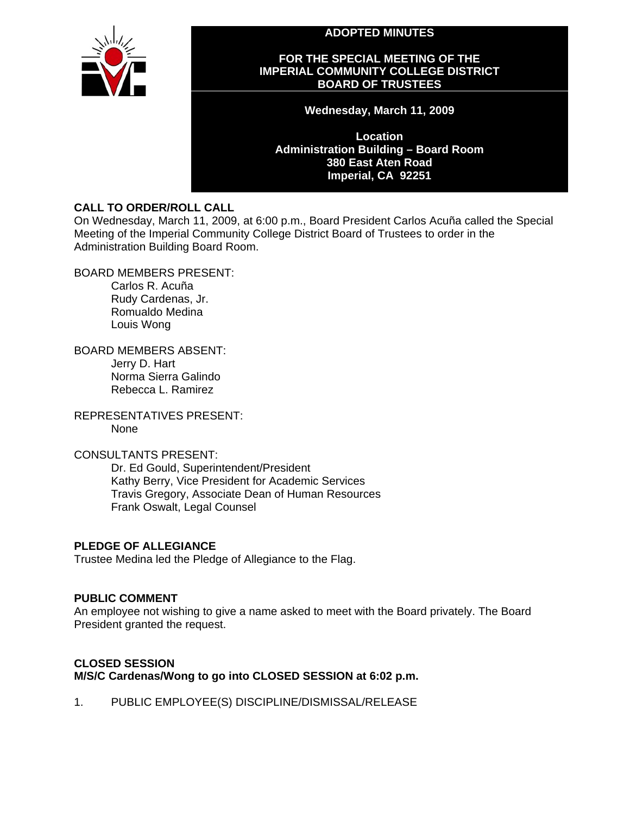**ADOPTED MINUTES** 



#### **FOR THE SPECIAL MEETING OF THE IMPERIAL COMMUNITY COLLEGE DISTRICT BOARD OF TRUSTEES**

**Wednesday, March 11, 2009** 

**Location Administration Building – Board Room 380 East Aten Road Imperial, CA 92251** 

# **CALL TO ORDER/ROLL CALL**

On Wednesday, March 11, 2009, at 6:00 p.m., Board President Carlos Acuña called the Special Meeting of the Imperial Community College District Board of Trustees to order in the Administration Building Board Room.

BOARD MEMBERS PRESENT:

Carlos R. Acuña Rudy Cardenas, Jr. Romualdo Medina Louis Wong

BOARD MEMBERS ABSENT: Jerry D. Hart Norma Sierra Galindo Rebecca L. Ramirez

REPRESENTATIVES PRESENT: None

## CONSULTANTS PRESENT:

Dr. Ed Gould, Superintendent/President Kathy Berry, Vice President for Academic Services Travis Gregory, Associate Dean of Human Resources Frank Oswalt, Legal Counsel

# **PLEDGE OF ALLEGIANCE**

Trustee Medina led the Pledge of Allegiance to the Flag.

## **PUBLIC COMMENT**

An employee not wishing to give a name asked to meet with the Board privately. The Board President granted the request.

# **CLOSED SESSION M/S/C Cardenas/Wong to go into CLOSED SESSION at 6:02 p.m.**

1. PUBLIC EMPLOYEE(S) DISCIPLINE/DISMISSAL/RELEASE